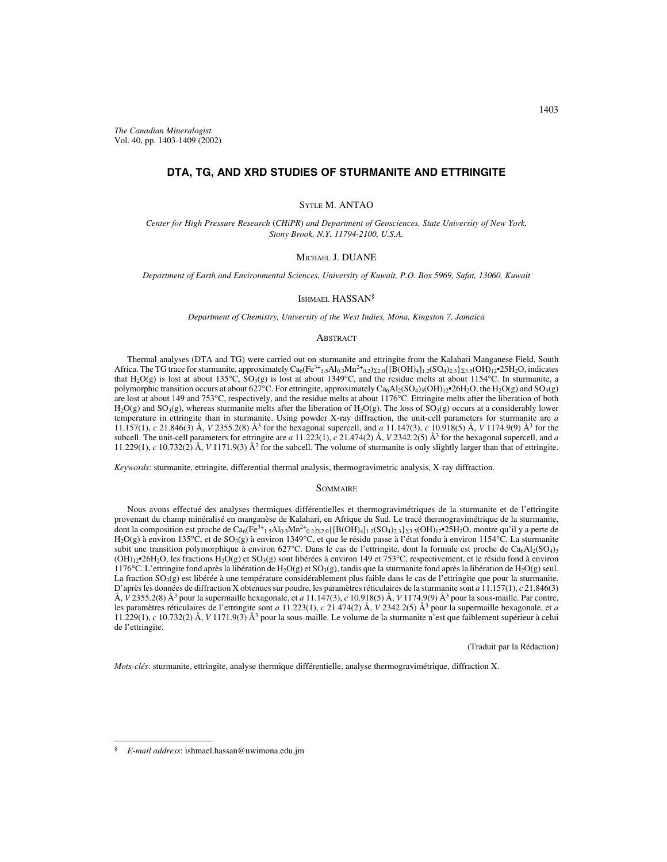# **DTA, TG, AND XRD STUDIES OF STURMANITE AND ETTRINGITE**

## SYTLE M. ANTAO

*Center for High Pressure Research* (*CHiPR*) *and Department of Geosciences, State University of New York, Stony Brook, N.Y. 11794-2100, U.S.A.*

### MICHAEL J. DUANE

*Department of Earth and Environmental Sciences, University of Kuwait, P.O. Box 5969, Safat, 13060, Kuwait*

### ISHMAEL HASSAN§

*Department of Chemistry, University of the West Indies, Mona, Kingston 7, Jamaica*

#### **ABSTRACT**

Thermal analyses (DTA and TG) were carried out on sturmanite and ettringite from the Kalahari Manganese Field, South Africa. The TG trace for sturmanite, approximately  $Ca_6(Fe^{3+1.5}Al_{0.3}Mn^{2+}0.2)z_{2.0}\{[B(OH)_4]_{1.2}(SO_4)_{2.3}\}z_{3.5}(OH)_12^{\bullet}25H_2O$ , indicates that H<sub>2</sub>O(g) is lost at about 135°C, SO<sub>3</sub>(g) is lost at about 1349°C, and the residue melts at about 1154°C. In sturmanite, a polymorphic transition occurs at about 627°C. For ettringite, approximately  $Ca_6Al_2(SO_4)_3(OH)_{12}^{\bullet}$ 26H<sub>2</sub>O, the H<sub>2</sub>O(g) and SO<sub>3</sub>(g) are lost at about 149 and 753°C, respectively, and the residue melts at about 1176°C. Ettringite melts after the liberation of both  $H_2O(g)$  and  $SO_3(g)$ , whereas sturmanite melts after the liberation of  $H_2O(g)$ . The loss of  $SO_3(g)$  occurs at a considerably lower temperature in ettringite than in sturmanite. Using powder X-ray diffraction, the unit-cell parameters for sturmanite are *a* 11.157(1), *c* 21.846(3) Å, *V* 2355.2(8) Å3 for the hexagonal supercell, and *a* 11.147(3), *c* 10.918(5) Å, *V* 1174.9(9) Å3 for the subcell. The unit-cell parameters for ettringite are *a* 11.223(1), *c* 21.474(2) Å, *V* 2342.2(5) Å<sup>3</sup> for the hexagonal supercell, and *a* 11.229(1),  $c$  10.732(2) Å,  $V$  1171.9(3) Å<sup>3</sup> for the subcell. The volume of sturmanite is only slightly larger than that of ettringite.

*Keywords*: sturmanite, ettringite, differential thermal analysis, thermogravimetric analysis, X-ray diffraction.

#### **SOMMAIRE**

Nous avons effectué des analyses thermiques différentielles et thermogravimétriques de la sturmanite et de l'ettringite provenant du champ minéralisé en manganèse de Kalahari, en Afrique du Sud. Le tracé thermogravimétrique de la sturmanite, dont la composition est proche de Ca<sub>6</sub>(Fe<sup>3+</sup><sub>1.5</sub>Al<sub>0.3</sub>Mn<sup>2+</sup><sub>0.2</sub>)<sub>22.0</sub>{[B(OH)<sub>4</sub>]<sub>1.2</sub>(SO<sub>4</sub>)<sub>2</sub>3}<sub>23.5</sub>(OH)<sub>12</sub>•25H<sub>2</sub>O, montre qu'il y a perte de H<sub>2</sub>O(g) à environ 135°C, et de SO<sub>3</sub>(g) à environ 1349°C, et que le résidu passe à l'état fondu à environ 1154°C. La sturmanite subit une transition polymorphique à environ 627°C. Dans le cas de l'ettringite, dont la formule est proche de Ca<sub>6</sub>Al<sub>2</sub>(SO<sub>4</sub>)<sub>3</sub>  $(OH)_{12}$ •26H<sub>2</sub>O, les fractions H<sub>2</sub>O(g) et SO<sub>3</sub>(g) sont libérées à environ 149 et 753°C, respectivement, et le résidu fond à environ 1176°C. L'ettringite fond après la libération de H<sub>2</sub>O(g) et SO<sub>3</sub>(g), tandis que la sturmanite fond après la libération de H<sub>2</sub>O(g) seul. La fraction  $SO_3(g)$  est libérée à une température considérablement plus faible dans le cas de l'ettringite que pour la sturmanite. D'après les données de diffraction X obtenues sur poudre, les paramètres réticulaires de la sturmanite sont *a* 11.157(1), *c* 21.846(3) Å, *V* 2355.2(8) Å<sup>3</sup> pour la supermaille hexagonale, et *a* 11.147(3), *c* 10.918(5) Å, *V* 1174.9(9) Å<sup>3</sup> pour la sous-maille. Par contre, les paramètres réticulaires de l'ettringite sont *a* 11.223(1), *c* 21.474(2) Å, *V* 2342.2(5) Å<sup>3</sup> pour la supermaille hexagonale, et *a* 11.229(1), *c* 10.732(2) Å, *V* 1171.9(3) Å3 pour la sous-maille. Le volume de la sturmanite n'est que faiblement supérieur à celui de l'ettringite.

(Traduit par la Rédaction)

*Mots-clés*: sturmanite, ettringite, analyse thermique différentielle, analyse thermogravimétrique, diffraction X.

<sup>§</sup> *E-mail address*: ishmael.hassan@uwimona.edu.jm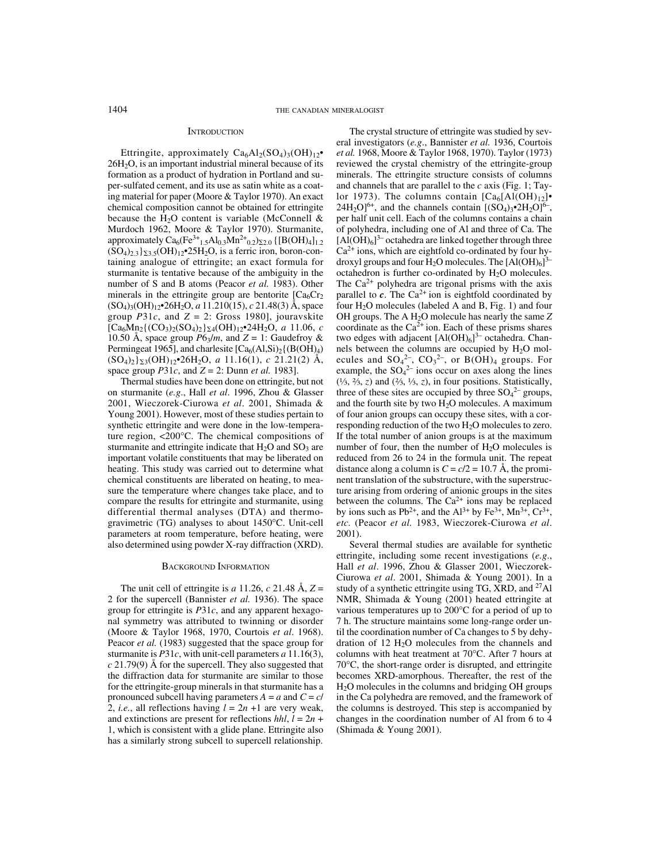### **INTRODUCTION**

Ettringite, approximately  $Ca_6Al_2(SO_4)_3(OH)_{12}$ 26H2O, is an important industrial mineral because of its formation as a product of hydration in Portland and super-sulfated cement, and its use as satin white as a coating material for paper (Moore & Taylor 1970). An exact chemical composition cannot be obtained for ettringite because the  $H_2O$  content is variable (McConnell & Murdoch 1962, Moore & Taylor 1970). Sturmanite, approximately  $Ca_6(Fe^{3+}{}_{1.5}Al_{0.3}Mn^{2+}{}_{0.2})_{2,0}$  {[B(OH)<sub>4</sub>]<sub>1.2</sub>  $(SO_4)_{2,3}$ <sub>2.3.5</sub> $(OH)_{12}$ •25H<sub>2</sub>O, is a ferric iron, boron-containing analogue of ettringite; an exact formula for sturmanite is tentative because of the ambiguity in the number of S and B atoms (Peacor *et al.* 1983). Other minerals in the ettringite group are bentorite  $[C_{46}Cr_2]$ (SO4)3(OH)12•26H2O, *a* 11.210(15), *c* 21.48(3) Å, space group  $P31c$ , and  $Z = 2$ : Gross 1980], jouravskite  $[Ca_6Mn_2\{(CO_3)_2(SO_4)_2\}_{\text{S4}}(OH)_12\bullet 24H_2O, a_11.06, c_2$ 10.50 Å, space group  $P6_3/m$ , and  $Z = 1$ : Gaudefroy & Permingeat 1965], and charlesite  $[Ca<sub>6</sub>(Al,Si)<sub>2</sub>(B(OH)<sub>4</sub>)$  $(SO_4)_2$ <sub>23</sub>(OH)<sub>12</sub>•26H<sub>2</sub>O, *a* 11.16(1), *c* 21.21(2) Å, space group *P*31*c*, and *Z* = 2: Dunn *et al.* 1983].

Thermal studies have been done on ettringite, but not on sturmanite (*e.g*., Hall *et al*. 1996, Zhou & Glasser 2001, Wieczorek-Ciurowa *et al*. 2001, Shimada & Young 2001). However, most of these studies pertain to synthetic ettringite and were done in the low-temperature region, <200°C. The chemical compositions of sturmanite and ettringite indicate that  $H_2O$  and  $SO_3$  are important volatile constituents that may be liberated on heating. This study was carried out to determine what chemical constituents are liberated on heating, to measure the temperature where changes take place, and to compare the results for ettringite and sturmanite, using differential thermal analyses (DTA) and thermogravimetric (TG) analyses to about 1450°C. Unit-cell parameters at room temperature, before heating, were also determined using powder X-ray diffraction (XRD).

#### BACKGROUND INFORMATION

The unit cell of ettringite is *a* 11.26, *c* 21.48 Å,  $Z =$ 2 for the supercell (Bannister *et al.* 1936). The space group for ettringite is *P*31*c*, and any apparent hexagonal symmetry was attributed to twinning or disorder (Moore & Taylor 1968, 1970, Courtois *et al*. 1968). Peacor *et al.* (1983) suggested that the space group for sturmanite is *P*31*c*, with unit-cell parameters *a* 11.16(3), *c* 21.79(9) Å for the supercell. They also suggested that the diffraction data for sturmanite are similar to those for the ettringite-group minerals in that sturmanite has a pronounced subcell having parameters  $A = a$  and  $C = c/$ 2, *i.e.*, all reflections having  $l = 2n +1$  are very weak, and extinctions are present for reflections  $hhl$ ,  $l = 2n +$ 1, which is consistent with a glide plane. Ettringite also has a similarly strong subcell to supercell relationship.

The crystal structure of ettringite was studied by several investigators (*e.g*., Bannister *et al.* 1936, Courtois *et al.* 1968, Moore & Taylor 1968, 1970). Taylor (1973) reviewed the crystal chemistry of the ettringite-group minerals. The ettringite structure consists of columns and channels that are parallel to the *c* axis (Fig. 1; Taylor 1973). The columns contain  $[Ca_6[A(OH)]_2]$  $24H_2O_1^{6+}$ , and the channels contain  $[(SO_4)_3 \cdot 2H_2O_1^{6-}$ , per half unit cell. Each of the columns contains a chain of polyhedra, including one of Al and three of Ca. The  $[A(OH)<sub>6</sub>]$ <sup>3-</sup> octahedra are linked together through three  $Ca<sup>2+</sup>$  ions, which are eightfold co-ordinated by four hydroxyl groups and four  $H_2O$  molecules. The  $[AI(OH)_6]^{3-}$ octahedron is further co-ordinated by H2O molecules. The  $Ca^{2+}$  polyhedra are trigonal prisms with the axis parallel to  $c$ . The Ca<sup>2+</sup> ion is eightfold coordinated by four  $H_2O$  molecules (labeled A and B, Fig. 1) and four OH groups. The A H<sub>2</sub>O molecule has nearly the same Z coordinate as the  $Ca^{2+}$  ion. Each of these prisms shares two edges with adjacent  $[A(OH)_6]^{3-}$  octahedra. Channels between the columns are occupied by  $H<sub>2</sub>O$  molecules and  $SO_4^2$ ,  $CO_3^2$ , or B(OH)<sub>4</sub> groups. For example, the  $SO_4^2$  ions occur on axes along the lines (⅓, ⅔, *z*) and (⅔, ⅓, *z*), in four positions. Statistically, three of these sites are occupied by three  $SO_4^2$  groups, and the fourth site by two  $H_2O$  molecules. A maximum of four anion groups can occupy these sites, with a corresponding reduction of the two  $H_2O$  molecules to zero. If the total number of anion groups is at the maximum number of four, then the number of  $H<sub>2</sub>O$  molecules is reduced from 26 to 24 in the formula unit. The repeat distance along a column is  $C = c/2 = 10.7$  Å, the prominent translation of the substructure, with the superstructure arising from ordering of anionic groups in the sites between the columns. The  $Ca^{2+}$  ions may be replaced by ions such as Pb<sup>2+</sup>, and the Al<sup>3+</sup> by Fe<sup>3+</sup>, Mn<sup>3+</sup>, Cr<sup>3+</sup>, *etc.* (Peacor *et al.* 1983, Wieczorek-Ciurowa *et al*. 2001).

Several thermal studies are available for synthetic ettringite, including some recent investigations (*e.g*., Hall *et al*. 1996, Zhou & Glasser 2001, Wieczorek-Ciurowa *et al*. 2001, Shimada & Young 2001). In a study of a synthetic ettringite using TG, XRD, and 27Al NMR, Shimada & Young (2001) heated ettringite at various temperatures up to 200°C for a period of up to 7 h. The structure maintains some long-range order until the coordination number of Ca changes to 5 by dehydration of 12 H2O molecules from the channels and columns with heat treatment at 70°C. After 7 hours at 70°C, the short-range order is disrupted, and ettringite becomes XRD-amorphous. Thereafter, the rest of the H2O molecules in the columns and bridging OH groups in the Ca polyhedra are removed, and the framework of the columns is destroyed. This step is accompanied by changes in the coordination number of Al from 6 to 4 (Shimada & Young 2001).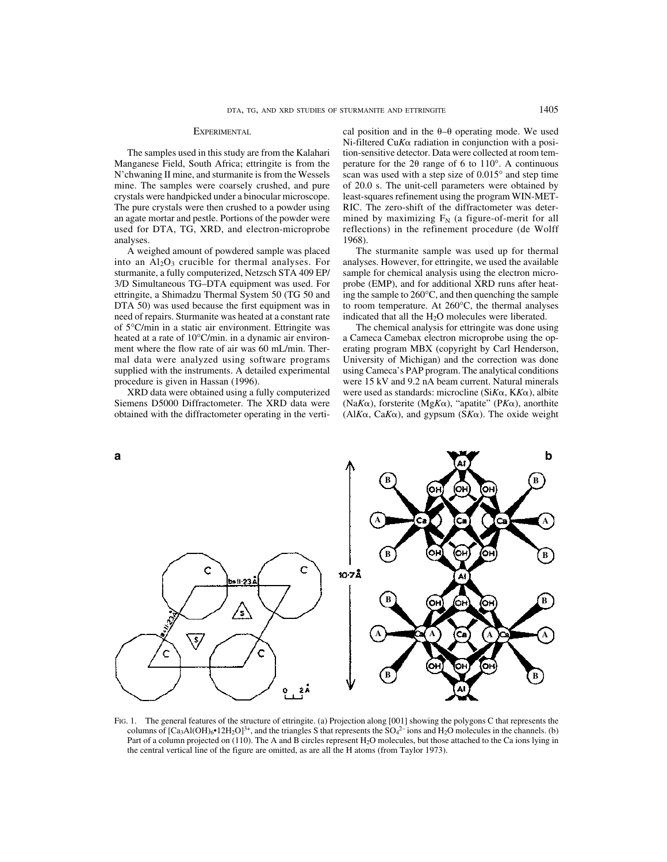### EXPERIMENTAL.

The samples used in this study are from the Kalahari Manganese Field, South Africa; ettringite is from the N'chwaning II mine, and sturmanite is from the Wessels mine. The samples were coarsely crushed, and pure crystals were handpicked under a binocular microscope. The pure crystals were then crushed to a powder using an agate mortar and pestle. Portions of the powder were used for DTA, TG, XRD, and electron-microprobe analyses.

A weighed amount of powdered sample was placed into an  $Al_2O_3$  crucible for thermal analyses. For sturmanite, a fully computerized, Netzsch STA 409 EP/ 3/D Simultaneous TG–DTA equipment was used. For ettringite, a Shimadzu Thermal System 50 (TG 50 and DTA 50) was used because the first equipment was in need of repairs. Sturmanite was heated at a constant rate of 5°C/min in a static air environment. Ettringite was heated at a rate of 10°C/min. in a dynamic air environment where the flow rate of air was 60 mL/min. Thermal data were analyzed using software programs supplied with the instruments. A detailed experimental procedure is given in Hassan (1996).

XRD data were obtained using a fully computerized Siemens D5000 Diffractometer. The XRD data were obtained with the diffractometer operating in the vertical position and in the  $\theta$ - $\theta$  operating mode. We used  $Ni$ -filtered Cu $K\alpha$  radiation in conjunction with a position-sensitive detector. Data were collected at room temperature for the 2 $\theta$  range of 6 to 110 $^{\circ}$ . A continuous scan was used with a step size of 0.015° and step time of 20.0 s. The unit-cell parameters were obtained by least-squares refinement using the program WIN-MET-RIC. The zero-shift of the diffractometer was determined by maximizing  $F_N$  (a figure-of-merit for all reflections) in the refinement procedure (de Wolff 1968).

The sturmanite sample was used up for thermal analyses. However, for ettringite, we used the available sample for chemical analysis using the electron microprobe (EMP), and for additional XRD runs after heating the sample to 260°C, and then quenching the sample to room temperature. At 260°C, the thermal analyses indicated that all the  $H_2O$  molecules were liberated.

The chemical analysis for ettringite was done using a Cameca Camebax electron microprobe using the operating program MBX (copyright by Carl Henderson, University of Michigan) and the correction was done using Cameca's PAP program. The analytical conditions were 15 kV and 9.2 nA beam current. Natural minerals were used as standards: microcline ( $SiK\alpha$ ,  $KK\alpha$ ), albite (Na $K\alpha$ ), forsterite (Mg $K\alpha$ ), "apatite" (P $K\alpha$ ), anorthite (Al $K\alpha$ , Ca $K\alpha$ ), and gypsum (S $K\alpha$ ). The oxide weight



FIG. 1. The general features of the structure of ettringite. (a) Projection along [001] showing the polygons C that represents the columns of  $[Ca_3A I(OH)_6 \cdot 12H_2O]^{3+}$ , and the triangles S that represents the SO<sub>4</sub><sup>2-</sup> ions and H<sub>2</sub>O molecules in the channels. (b) Part of a column projected on (110). The A and B circles represent H2O molecules, but those attached to the Ca ions lying in the central vertical line of the figure are omitted, as are all the H atoms (from Taylor 1973).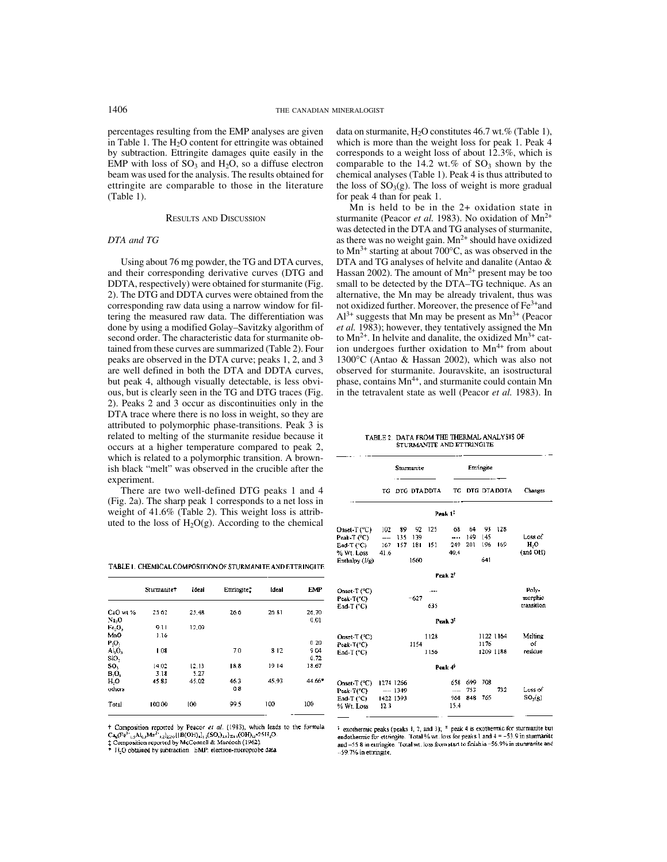percentages resulting from the EMP analyses are given in Table 1. The  $H_2O$  content for ettringite was obtained by subtraction. Ettringite damages quite easily in the EMP with loss of  $SO_3$  and  $H_2O$ , so a diffuse electron beam was used for the analysis. The results obtained for ettringite are comparable to those in the literature (Table 1).

# RESULTS AND DISCUSSION

#### *DTA and TG*

Using about 76 mg powder, the TG and DTA curves, and their corresponding derivative curves (DTG and DDTA, respectively) were obtained for sturmanite (Fig. 2). The DTG and DDTA curves were obtained from the corresponding raw data using a narrow window for filtering the measured raw data. The differentiation was done by using a modified Golay–Savitzky algorithm of second order. The characteristic data for sturmanite obtained from these curves are summarized (Table 2). Four peaks are observed in the DTA curve; peaks 1, 2, and 3 are well defined in both the DTA and DDTA curves, but peak 4, although visually detectable, is less obvious, but is clearly seen in the TG and DTG traces (Fig. 2). Peaks 2 and 3 occur as discontinuities only in the DTA trace where there is no loss in weight, so they are attributed to polymorphic phase-transitions. Peak 3 is related to melting of the sturmanite residue because it occurs at a higher temperature compared to peak 2, which is related to a polymorphic transition. A brownish black "melt" was observed in the crucible after the experiment.

There are two well-defined DTG peaks 1 and 4 (Fig. 2a). The sharp peak 1 corresponds to a net loss in weight of 41.6% (Table 2). This weight loss is attributed to the loss of  $H_2O(g)$ . According to the chemical

TABLE 1. CHEMICAL COMPOSITION OF STURMANITE AND ETTRINGITE

|                               | Sturmanite <sup>+</sup> | Ideal | Ettringite: | <b>Ideal</b> | EMP<br>26,70 |
|-------------------------------|-------------------------|-------|-------------|--------------|--------------|
| CaO wt%                       | 25.62                   | 25.48 | 26.6        | 26.81        |              |
| Na.O                          |                         |       |             |              | 0.01         |
| Fe.O,                         | 9.11                    | 12.09 |             |              |              |
| MnO                           | 1.16                    |       |             |              |              |
| P <sub>2</sub> O <sub>2</sub> |                         |       |             |              | 020          |
| $AI_2O_3$                     | 1.08                    |       | 7.0         | 812          | 9.04         |
| SiO <sub>2</sub>              |                         |       |             |              | 0.72         |
| SO,                           | 14.02                   | 12.13 | 18.8        | 1914         | 18.67        |
| B,O,                          | 3.18                    | 5.27  |             |              |              |
| H,O                           | 45.83                   | 45.02 | 46.3        | 45.93        | 44.66*       |
| others                        |                         |       | 0.8         |              |              |
| Total                         | 100.00                  | 100   | 99.5        | 100          | 100          |

<sup>+</sup> Composition reported by Peacor et al. (1983), which leads to the formula  $Ca_6(Fe^{3+}{}_{1,2}Al_{0,3}Mn^2{}_{0,2})_{2,2,2}$  | B(OH)<sub>1</sub>]<sub>12</sub>(SO<sub>4</sub>)<sub>23</sub>3(OH)<sub>12</sub>-25H<sub>2</sub>O.

<sup>t</sup> Composition reported by McConnell & Murdoch (1962).<br>\* H<sub>2</sub>O obtained by subtraction. EMP: electron-microprobe data

data on sturmanite,  $H_2O$  constitutes 46.7 wt.% (Table 1), which is more than the weight loss for peak 1. Peak 4 corresponds to a weight loss of about 12.3%, which is comparable to the 14.2 wt.% of  $SO_3$  shown by the chemical analyses (Table 1). Peak 4 is thus attributed to the loss of  $SO<sub>3</sub>(g)$ . The loss of weight is more gradual for peak 4 than for peak 1.

Mn is held to be in the 2+ oxidation state in sturmanite (Peacor *et al.* 1983). No oxidation of Mn<sup>2+</sup> was detected in the DTA and TG analyses of sturmanite, as there was no weight gain.  $Mn^{2+}$  should have oxidized to  $Mn^{3+}$  starting at about 700 $^{\circ}$ C, as was observed in the DTA and TG analyses of helvite and danalite (Antao & Hassan 2002). The amount of  $Mn^{2+}$  present may be too small to be detected by the DTA–TG technique. As an alternative, the Mn may be already trivalent, thus was not oxidized further. Moreover, the presence of Fe3+and  $Al^{3+}$  suggests that Mn may be present as  $Mn^{3+}$  (Peacor *et al.* 1983); however, they tentatively assigned the Mn to  $Mn^{2+}$ . In helvite and danalite, the oxidized  $Mn^{3+}$  cation undergoes further oxidation to  $Mn^{4+}$  from about 1300°C (Antao & Hassan 2002), which was also not observed for sturmanite. Jouravskite, an isostructural phase, contains  $Mn^{4+}$ , and sturmanite could contain Mn in the tetravalent state as well (Peacor *et al.* 1983). In

TABLE 2 DATA FROM THE THERMAL ANALYSIS OF STURMANITE AND ETTRINGITE

|                                                                                        |      | Sturmanite |         |                 | Etringite                    |                    |            |                        |                                |
|----------------------------------------------------------------------------------------|------|------------|---------|-----------------|------------------------------|--------------------|------------|------------------------|--------------------------------|
|                                                                                        |      |            |         | TG DTG DTA DDTA |                              |                    |            | TG DTG DTADDTA         | Changes                        |
|                                                                                        |      |            |         |                 | Peak 1 <sup>:</sup>          |                    |            |                        |                                |
| Dnset-T (°C) 102 89 92 125<br>Peak-T (°C) —— 135 139<br>5nd-T (°C) = 167<br>% Wt. Loss | 41.6 |            | 157 181 | 151             | 249<br>40.4                  | 149 145<br>201     | 196        | 68 64 93 128<br>169    | Loss of<br>H,O<br>(and OH)     |
| Enthalpy (J/g)                                                                         |      |            | 1660    |                 |                              |                    | 641        |                        |                                |
|                                                                                        |      |            |         |                 | <b>Peak <math>2^2</math></b> |                    |            |                        |                                |
| Onset-T (°C)<br>Peak-T(°C) -<br>$End-T(^cC)$                                           |      |            | $-627$  | 635             |                              |                    |            |                        | Poly-<br>morphic<br>transition |
|                                                                                        |      |            |         |                 | Peak $31$                    |                    |            |                        |                                |
| Onset-T (°C)<br>Peak-T(°C)<br>$End-T$ (°C)                                             |      |            | 1154    | 1128<br>1156    |                              |                    | 1176       | 1122 1164<br>1209 1188 | Melting<br>of<br>residue       |
|                                                                                        |      |            |         |                 | Peak 4 <sup>9</sup>          |                    |            |                        |                                |
| Dnset-T (°C) 1274 1266<br>Peak-T(°C) —— 1349<br>End-T (°C) 1422-1393<br>% Wt. Loss     | 12.3 |            |         |                 | 658<br>$---$<br>968<br>15.4  | 699.<br>753<br>848 | 708<br>765 | 732                    | Luss of<br>SO <sub>1</sub> (g) |

<sup>2</sup> exothermic peaks (peaks 1, 2, and 3); <sup>8</sup> peak 4 is exothermic for sturmanite but endothermic for ettringite. Total % wt. loss for peaks 1 and  $4 = -53.9$  in sturmanite and -55 8 in euringite. Total wt. loss from start to finish is -56.9% in sturmanite and -59.7% in ettringite.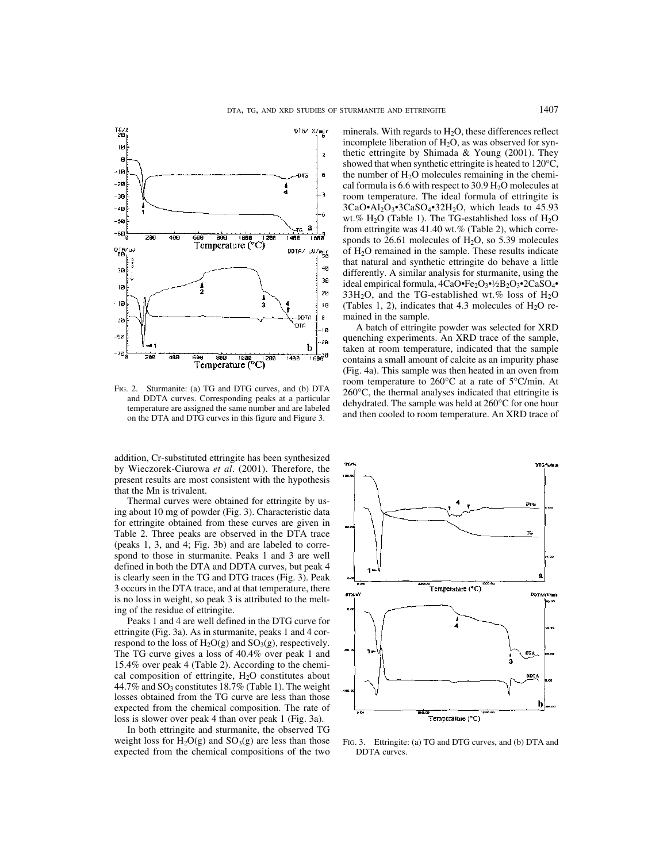

FIG. 2. Sturmanite: (a) TG and DTG curves, and (b) DTA and DDTA curves. Corresponding peaks at a particular temperature are assigned the same number and are labeled on the DTA and DTG curves in this figure and Figure 3.

addition, Cr-substituted ettringite has been synthesized by Wieczorek-Ciurowa *et al*. (2001). Therefore, the present results are most consistent with the hypothesis that the Mn is trivalent.

Thermal curves were obtained for ettringite by using about 10 mg of powder (Fig. 3). Characteristic data for ettringite obtained from these curves are given in Table 2. Three peaks are observed in the DTA trace (peaks 1, 3, and 4; Fig. 3b) and are labeled to correspond to those in sturmanite. Peaks 1 and 3 are well defined in both the DTA and DDTA curves, but peak 4 is clearly seen in the TG and DTG traces (Fig. 3). Peak 3 occurs in the DTA trace, and at that temperature, there is no loss in weight, so peak 3 is attributed to the melting of the residue of ettringite.

Peaks 1 and 4 are well defined in the DTG curve for ettringite (Fig. 3a). As in sturmanite, peaks 1 and 4 correspond to the loss of  $H_2O(g)$  and  $SO_3(g)$ , respectively. The TG curve gives a loss of 40.4% over peak 1 and 15.4% over peak 4 (Table 2). According to the chemical composition of ettringite,  $H<sub>2</sub>O$  constitutes about 44.7% and  $SO_3$  constitutes 18.7% (Table 1). The weight losses obtained from the TG curve are less than those expected from the chemical composition. The rate of loss is slower over peak 4 than over peak 1 (Fig. 3a).

In both ettringite and sturmanite, the observed TG weight loss for  $H_2O(g)$  and  $SO_3(g)$  are less than those expected from the chemical compositions of the two minerals. With regards to  $H<sub>2</sub>O$ , these differences reflect incomplete liberation of  $H_2O$ , as was observed for synthetic ettringite by Shimada & Young (2001). They showed that when synthetic ettringite is heated to 120°C, the number of  $H<sub>2</sub>O$  molecules remaining in the chemical formula is 6.6 with respect to 30.9  $H_2O$  molecules at room temperature. The ideal formula of ettringite is  $3CaO<sup>•</sup>A<sub>2</sub>O<sub>3</sub><sup>•</sup>3CaSO<sub>4</sub><sup>•</sup>32H<sub>2</sub>O$ , which leads to 45.93 wt.%  $H_2O$  (Table 1). The TG-established loss of  $H_2O$ from ettringite was 41.40 wt.% (Table 2), which corresponds to  $26.61$  molecules of  $H_2O$ , so  $5.39$  molecules of  $H<sub>2</sub>O$  remained in the sample. These results indicate that natural and synthetic ettringite do behave a little differently. A similar analysis for sturmanite, using the ideal empirical formula,  $4CaO·Fe<sub>2</sub>O<sub>3</sub>·<sup>1</sup>/2B<sub>2</sub>O<sub>3</sub>·2CaSO<sub>4</sub>·$  $33H<sub>2</sub>O$ , and the TG-established wt.% loss of  $H<sub>2</sub>O$ (Tables 1, 2), indicates that 4.3 molecules of  $H_2O$  remained in the sample.

A batch of ettringite powder was selected for XRD quenching experiments. An XRD trace of the sample, taken at room temperature, indicated that the sample contains a small amount of calcite as an impurity phase (Fig. 4a). This sample was then heated in an oven from room temperature to 260°C at a rate of 5°C/min. At 260°C, the thermal analyses indicated that ettringite is dehydrated. The sample was held at 260°C for one hour and then cooled to room temperature. An XRD trace of



FIG. 3. Ettringite: (a) TG and DTG curves, and (b) DTA and DDTA curves.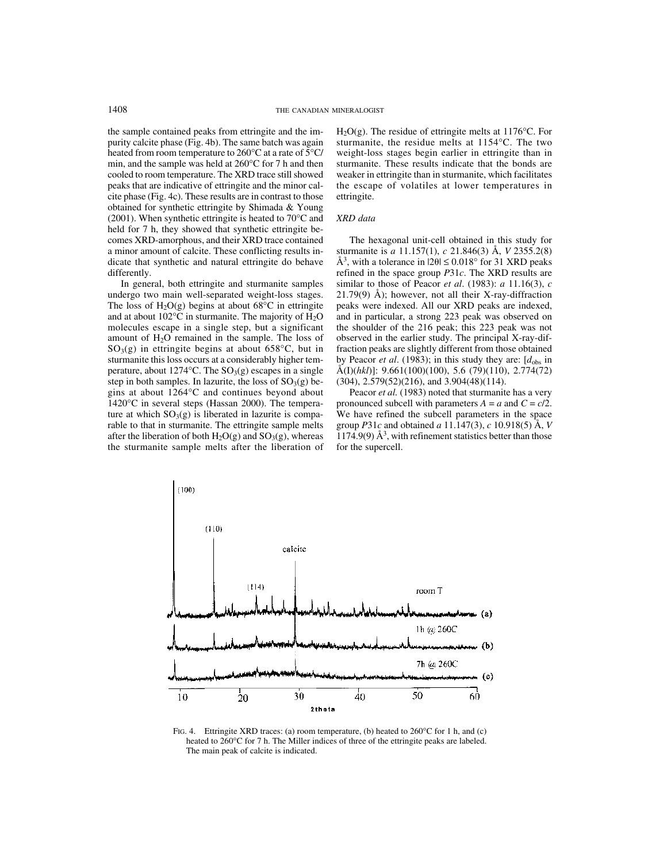the sample contained peaks from ettringite and the impurity calcite phase (Fig. 4b). The same batch was again heated from room temperature to 260°C at a rate of 5°C/ min, and the sample was held at 260°C for 7 h and then cooled to room temperature. The XRD trace still showed peaks that are indicative of ettringite and the minor calcite phase (Fig. 4c). These results are in contrast to those obtained for synthetic ettringite by Shimada & Young (2001). When synthetic ettringite is heated to 70°C and held for 7 h, they showed that synthetic ettringite becomes XRD-amorphous, and their XRD trace contained a minor amount of calcite. These conflicting results indicate that synthetic and natural ettringite do behave differently.

In general, both ettringite and sturmanite samples undergo two main well-separated weight-loss stages. The loss of  $H_2O(g)$  begins at about 68 $^{\circ}$ C in ettringite and at about  $102^{\circ}$ C in sturmanite. The majority of  $H_2O$ molecules escape in a single step, but a significant amount of H2O remained in the sample. The loss of  $SO<sub>3</sub>(g)$  in ettringite begins at about 658°C, but in sturmanite this loss occurs at a considerably higher temperature, about 1274 °C. The  $SO<sub>3</sub>(g)$  escapes in a single step in both samples. In lazurite, the loss of  $SO<sub>3</sub>(g)$  begins at about 1264°C and continues beyond about 1420°C in several steps (Hassan 2000). The temperature at which  $SO_3(g)$  is liberated in lazurite is comparable to that in sturmanite. The ettringite sample melts after the liberation of both  $H_2O(g)$  and  $SO_3(g)$ , whereas the sturmanite sample melts after the liberation of  $H<sub>2</sub>O(g)$ . The residue of ettringite melts at 1176°C. For sturmanite, the residue melts at 1154°C. The two weight-loss stages begin earlier in ettringite than in sturmanite. These results indicate that the bonds are weaker in ettringite than in sturmanite, which facilitates the escape of volatiles at lower temperatures in ettringite.

# *XRD data*

The hexagonal unit-cell obtained in this study for sturmanite is *a* 11.157(1), *c* 21.846(3) Å, *V* 2355.2(8) Å<sup>3</sup>, with a tolerance in  $|2\theta| \le 0.018^{\circ}$  for 31 XRD peaks refined in the space group *P*31*c*. The XRD results are similar to those of Peacor *et al*. (1983): *a* 11.16(3), *c*  $21.79(9)$  Å); however, not all their X-ray-diffraction peaks were indexed. All our XRD peaks are indexed, and in particular, a strong 223 peak was observed on the shoulder of the 216 peak; this 223 peak was not observed in the earlier study. The principal X-ray-diffraction peaks are slightly different from those obtained by Peacor *et al.* (1983); in this study they are:  $[d_{obs}]$  in Å(I)(*hkl*)]: 9.661(100)(100), 5.6 (79)(110), 2.774(72) (304), 2.579(52)(216), and 3.904(48)(114).

Peacor *et al.* (1983) noted that sturmanite has a very pronounced subcell with parameters  $A = a$  and  $C = c/2$ . We have refined the subcell parameters in the space group *P*31*c* and obtained *a* 11.147(3), *c* 10.918(5) Å, *V* 1174.9(9)  $\AA^3$ , with refinement statistics better than those for the supercell.



FIG. 4. Ettringite XRD traces: (a) room temperature, (b) heated to  $260^{\circ}$ C for 1 h, and (c) heated to 260°C for 7 h. The Miller indices of three of the ettringite peaks are labeled. The main peak of calcite is indicated.